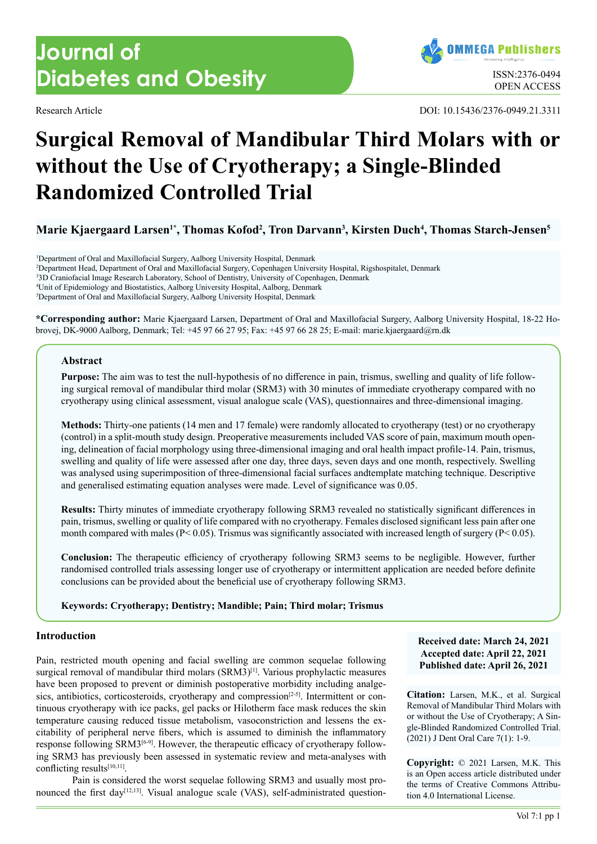# **Journal of Diabetes and Obesity ISSN:2376-0494** ISSN:2376-0494

Research Article DOI: 10.15436/2376-0949.21.3311

# **Surgical Removal of Mandibular Third Molars with or without the Use of Cryotherapy; a Single-Blinded Randomized Controlled Trial**

Marie Kjaergaard Larsen<sup>1\*</sup>, Thomas Kofod<sup>2</sup>, Tron Darvann<sup>3</sup>, Kirsten Duch<sup>4</sup>, Thomas Starch-Jensen<sup>s</sup>

 Department of Oral and Maxillofacial Surgery, Aalborg University Hospital, Denmark Department Head, Department of Oral and Maxillofacial Surgery, Copenhagen University Hospital, Rigshospitalet, Denmark 3D Craniofacial Image Research Laboratory, School of Dentistry, University of Copenhagen, Denmark Unit of Epidemiology and Biostatistics, Aalborg University Hospital, Aalborg, Denmark Department of Oral and Maxillofacial Surgery, Aalborg University Hospital, Denmark

**\*Corresponding author:** Marie Kjaergaard Larsen, Department of Oral and Maxillofacial Surgery, Aalborg University Hospital, 18-22 Hobrovej, DK-9000 Aalborg, Denmark; Tel: +45 97 66 27 95; Fax: +45 97 66 28 25; E-mail: marie.kjaergaard@rn.dk

# **Abstract**

**Purpose:** The aim was to test the null-hypothesis of no difference in pain, trismus, swelling and quality of life following surgical removal of mandibular third molar (SRM3) with 30 minutes of immediate cryotherapy compared with no cryotherapy using clinical assessment, visual analogue scale (VAS), questionnaires and three-dimensional imaging.

**Methods:** Thirty-one patients (14 men and 17 female) were randomly allocated to cryotherapy (test) or no cryotherapy (control) in a split-mouth study design. Preoperative measurements included VAS score of pain, maximum mouth opening, delineation of facial morphology using three-dimensional imaging and oral health impact profile-14. Pain, trismus, swelling and quality of life were assessed after one day, three days, seven days and one month, respectively. Swelling was analysed using superimposition of three-dimensional facial surfaces andtemplate matching technique. Descriptive and generalised estimating equation analyses were made. Level of significance was 0.05.

**Results:** Thirty minutes of immediate cryotherapy following SRM3 revealed no statistically significant differences in pain, trismus, swelling or quality of life compared with no cryotherapy. Females disclosed significant less pain after one month compared with males ( $P < 0.05$ ). Trismus was significantly associated with increased length of surgery ( $P < 0.05$ ).

**Conclusion:** The therapeutic efficiency of cryotherapy following SRM3 seems to be negligible. However, further randomised controlled trials assessing longer use of cryotherapy or intermittent application are needed before definite conclusions can be provided about the beneficial use of cryotherapy following SRM3.

# **Keywords: Cryotherapy; Dentistry; Mandible; Pain; Third molar; Trismus**

# **Introduction**

Pain, restricted mouth opening and facial swelling are common sequelae following surgical removal of mandibular third molars (SRM3)<sup>[1]</sup>. Various prophylactic measures have been proposed to prevent or diminish postoperative morbidity including analgesics, antibiotics, corticosteroids, cryotherapy and compression<sup>[2-5]</sup>. Intermittent or continuous cryotherapy with ice packs, gel packs or Hilotherm face mask reduces the skin temperature causing reduced tissue metabolism, vasoconstriction and lessens the excitability of peripheral nerve fibers, which is assumed to diminish the inflammatory response following SRM[3\[6-9\].](#page-7-0) However, the therapeutic efficacy of cryotherapy following SRM3 has previously been assessed in systematic review and meta-analyses with conflicting result[s\[10,11\]](#page-7-1).

Pain is considered the worst sequelae following SRM3 and usually most pronounced the first day<sup>[12,13]</sup>. Visual analogue scale (VAS), self-administrated question**Received date: March 24, 2021 Accepted date: April 22, 2021 Published date: April 26, 2021**

**Citation:** Larsen, M.K., et al. Surgical Removal of Mandibular Third Molars with or without the Use of Cryotherapy; A Single-Blinded Randomized Controlled Trial. (2021) J Dent Oral Care 7(1): 1-9.

**Copyright:** © 2021 Larsen, M.K. This is an Open access article distributed under the terms of Creative Commons Attribution 4.0 International License.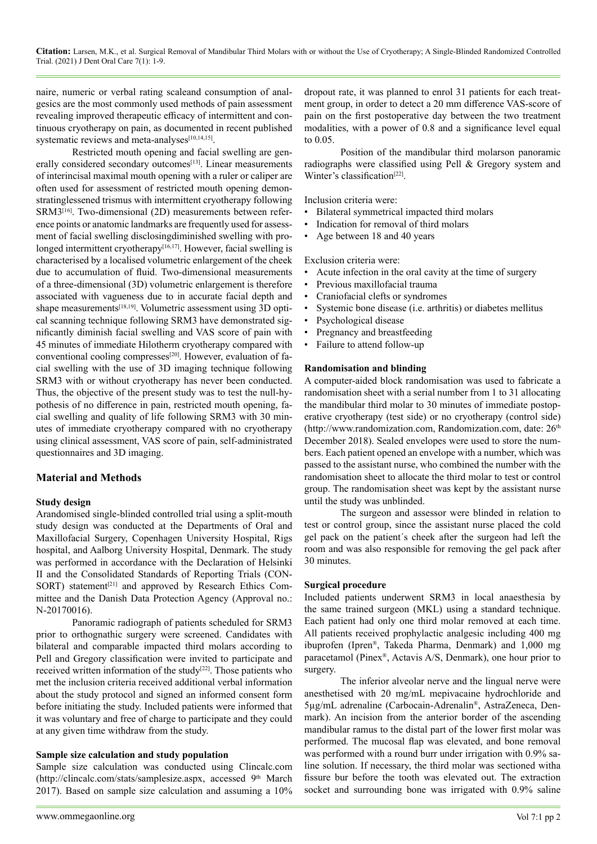naire, numeric or verbal rating scaleand consumption of analgesics are the most commonly used methods of pain assessment revealing improved therapeutic efficacy of intermittent and continuous cryotherapy on pain, as documented in recent published systematic reviews and meta-analyses[\[10,14,15\]](#page-7-1).

Restricted mouth opening and facial swelling are generally considered secondary outcomes<sup>[13]</sup>. Linear measurements of interincisal maximal mouth opening with a ruler or caliper are often used for assessment of restricted mouth opening demonstratinglessened trismus with intermittent cryotherapy following SRM[3\[16\].](#page-7-4) Two-dimensional (2D) measurements between reference points or anatomic landmarks are frequently used for assessment of facial swelling disclosingdiminished swelling with prolonged intermittent cryotherapy<sup>[16,17]</sup>. However, facial swelling is characterised by a localised volumetric enlargement of the cheek due to accumulation of fluid. Two-dimensional measurements of a three-dimensional (3D) volumetric enlargement is therefore associated with vagueness due to in accurate facial depth and shape measurements<sup>[18,19]</sup>. Volumetric assessment using 3D optical scanning technique following SRM3 have demonstrated significantly diminish facial swelling and VAS score of pain with 45 minutes of immediate Hilotherm cryotherapy compared with conventional cooling compresses<sup>[20]</sup>. However, evaluation of facial swelling with the use of 3D imaging technique following SRM3 with or without cryotherapy has never been conducted. Thus, the objective of the present study was to test the null-hypothesis of no difference in pain, restricted mouth opening, facial swelling and quality of life following SRM3 with 30 minutes of immediate cryotherapy compared with no cryotherapy using clinical assessment, VAS score of pain, self-administrated questionnaires and 3D imaging.

# **Material and Methods**

# **Study design**

Arandomised single-blinded controlled trial using a split-mouth study design was conducted at the Departments of Oral and Maxillofacial Surgery, Copenhagen University Hospital, Rigs hospital, and Aalborg University Hospital, Denmark. The study was performed in accordance with the Declaration of Helsinki II and the Consolidated Standards of Reporting Trials (CON-SORT) statement<sup>[21]</sup> and approved by Research Ethics Committee and the Danish Data Protection Agency (Approval no.: N-20170016).

Panoramic radiograph of patients scheduled for SRM3 prior to orthognathic surgery were screened. Candidates with bilateral and comparable impacted third molars according to Pell and Gregory classification were invited to participate and received written information of the study<sup>[\[22\]](#page-7-8)</sup>. Those patients who met the inclusion criteria received additional verbal information about the study protocol and signed an informed consent form before initiating the study. Included patients were informed that it was voluntary and free of charge to participate and they could at any given time withdraw from the study.

# **Sample size calculation and study population**

Sample size calculation was conducted using Clincalc.com (http://clincalc.com/stats/samplesize.aspx, accessed 9<sup>th</sup> March 2017). Based on sample size calculation and assuming a 10% dropout rate, it was planned to enrol 31 patients for each treatment group, in order to detect a 20 mm difference VAS-score of pain on the first postoperative day between the two treatment modalities, with a power of 0.8 and a significance level equal to 0.05.

Position of the mandibular third molarson panoramic radiographs were classified using Pell & Gregory system and Winter's classification<sup>[\[22\]](#page-7-8)</sup>.

Inclusion criteria were:

- Bilateral symmetrical impacted third molars
- Indication for removal of third molars
- Age between 18 and 40 years

Exclusion criteria were:

- Acute infection in the oral cavity at the time of surgery
- Previous maxillofacial trauma
- Craniofacial clefts or syndromes
- Systemic bone disease (i.e. arthritis) or diabetes mellitus
- Psychological disease
- Pregnancy and breastfeeding
- Failure to attend follow-up

# **Randomisation and blinding**

A computer-aided block randomisation was used to fabricate a randomisation sheet with a serial number from 1 to 31 allocating the mandibular third molar to 30 minutes of immediate postoperative cryotherapy (test side) or no cryotherapy (control side) (http://www.randomization.com, Randomization.com, date: 26<sup>th</sup> December 2018). Sealed envelopes were used to store the numbers. Each patient opened an envelope with a number, which was passed to the assistant nurse, who combined the number with the randomisation sheet to allocate the third molar to test or control group. The randomisation sheet was kept by the assistant nurse until the study was unblinded.

The surgeon and assessor were blinded in relation to test or control group, since the assistant nurse placed the cold gel pack on the patient´s cheek after the surgeon had left the room and was also responsible for removing the gel pack after 30 minutes.

# **Surgical procedure**

Included patients underwent SRM3 in local anaesthesia by the same trained surgeon (MKL) using a standard technique. Each patient had only one third molar removed at each time. All patients received prophylactic analgesic including 400 mg ibuprofen (Ipren®, Takeda Pharma, Denmark) and 1,000 mg paracetamol (Pinex®, Actavis A/S, Denmark), one hour prior to surgery.

The inferior alveolar nerve and the lingual nerve were anesthetised with 20 mg/mL mepivacaine hydrochloride and 5µg/mL adrenaline (Carbocain-Adrenalin®, AstraZeneca, Denmark). An incision from the anterior border of the ascending mandibular ramus to the distal part of the lower first molar was performed. The mucosal flap was elevated, and bone removal was performed with a round burr under irrigation with 0.9% saline solution. If necessary, the third molar was sectioned witha fissure bur before the tooth was elevated out. The extraction socket and surrounding bone was irrigated with 0.9% saline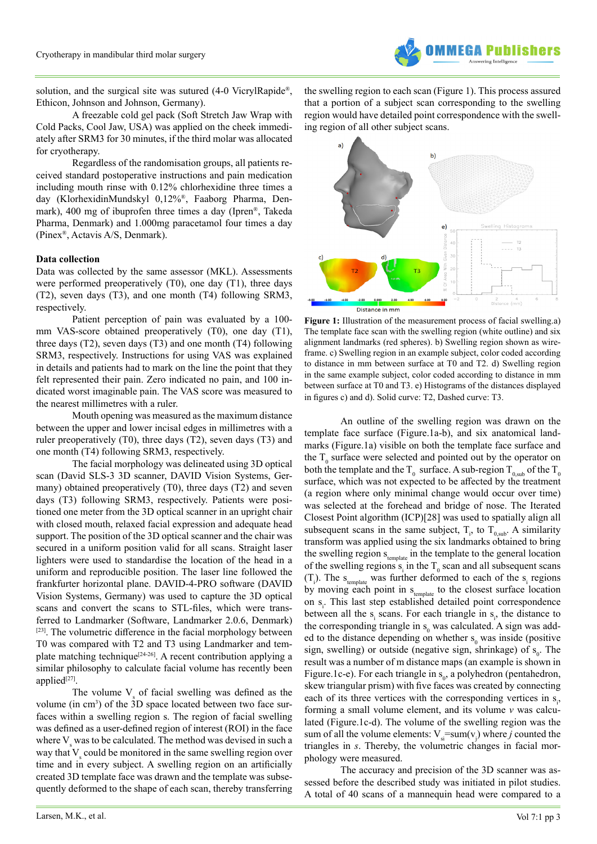

solution, and the surgical site was sutured (4-0 VicrylRapide®, Ethicon, Johnson and Johnson, Germany).

A freezable cold gel pack (Soft Stretch Jaw Wrap with Cold Packs, Cool Jaw, USA) was applied on the cheek immediately after SRM3 for 30 minutes, if the third molar was allocated for cryotherapy.

Regardless of the randomisation groups, all patients received standard postoperative instructions and pain medication including mouth rinse with 0.12% chlorhexidine three times a day (KlorhexidinMundskyl 0,12%®, Faaborg Pharma, Denmark), 400 mg of ibuprofen three times a day (Ipren®, Takeda Pharma, Denmark) and 1.000mg paracetamol four times a day (Pinex®, Actavis A/S, Denmark).

### **Data collection**

Data was collected by the same assessor (MKL). Assessments were performed preoperatively (T0), one day (T1), three days (T2), seven days (T3), and one month (T4) following SRM3, respectively.

Patient perception of pain was evaluated by a 100 mm VAS-score obtained preoperatively (T0), one day (T1), three days (T2), seven days (T3) and one month (T4) following SRM3, respectively. Instructions for using VAS was explained in details and patients had to mark on the line the point that they felt represented their pain. Zero indicated no pain, and 100 indicated worst imaginable pain. The VAS score was measured to the nearest millimetres with a ruler.

Mouth opening was measured as the maximum distance between the upper and lower incisal edges in millimetres with a ruler preoperatively (T0), three days (T2), seven days (T3) and one month (T4) following SRM3, respectively.

The facial morphology was delineated using 3D optical scan (David SLS-3 3D scanner, DAVID Vision Systems, Germany) obtained preoperatively (T0), three days (T2) and seven days (T3) following SRM3, respectively. Patients were positioned one meter from the 3D optical scanner in an upright chair with closed mouth, relaxed facial expression and adequate head support. The position of the 3D optical scanner and the chair was secured in a uniform position valid for all scans. Straight laser lighters were used to standardise the location of the head in a uniform and reproducible position. The laser line followed the frankfurter horizontal plane. DAVID-4-PRO software (DAVID Vision Systems, Germany) was used to capture the 3D optical scans and convert the scans to STL-files, which were transferred to Landmarker (Software, Landmarker 2.0.6, Denmark) [\[23\].](#page-7-9) The volumetric difference in the facial morphology between T0 was compared with T2 and T3 using Landmarker and tem-plate matching technique<sup>[\[24-26\]](#page-7-10)</sup>. A recent contribution applying a similar philosophy to calculate facial volume has recently been applied $[27]$ .

The volume  $V_s$  of facial swelling was defined as the volume (in cm<sup>3</sup>) of the 3D space located between two face surfaces within a swelling region s. The region of facial swelling was defined as a user-defined region of interest (ROI) in the face where  $V_s$  was to be calculated. The method was devised in such a way that  $V_s$  could be monitored in the same swelling region over time and in every subject. A swelling region on an artificially created 3D template face was drawn and the template was subsequently deformed to the shape of each scan, thereby transferring

the swelling region to each scan (Figure 1). This process assured that a portion of a subject scan corresponding to the swelling region would have detailed point correspondence with the swelling region of all other subject scans.



**Figure 1:** Illustration of the measurement process of facial swelling.a) The template face scan with the swelling region (white outline) and six alignment landmarks (red spheres). b) Swelling region shown as wireframe. c) Swelling region in an example subject, color coded according to distance in mm between surface at T0 and T2. d) Swelling region in the same example subject, color coded according to distance in mm between surface at T0 and T3. e) Histograms of the distances displayed in figures c) and d). Solid curve: T2, Dashed curve: T3.

An outline of the swelling region was drawn on the template face surface (Figure.1a-b), and six anatomical landmarks (Figure.1a) visible on both the template face surface and the  $T_0$  surface were selected and pointed out by the operator on both the template and the T<sub>0</sub> surface. A sub-region T<sub>0,sub</sub> of the T<sub>0</sub> surface, which was not expected to be affected by the treatment (a region where only minimal change would occur over time) was selected at the forehead and bridge of nose. The Iterated Closest Point algorithm (ICP)[28] was used to spatially align all subsequent scans in the same subject,  $T_i$ , to  $T_{0,sub}$ . A similarity transform was applied using the six landmarks obtained to bring the swelling region  $s_{\text{template}}$  in the template to the general location of the swelling regions  $s_i$  in the  $T_0$  scan and all subsequent scans  $(T<sub>i</sub>)$ . The s<sub>template</sub> was further deformed to each of the s<sub>i</sub> regions by moving each point in  $s_{\text{template}}$  to the closest surface location on s<sub>i</sub>. This last step established detailed point correspondence between all the  $s_i$  scans. For each triangle in  $s_i$ , the distance to the corresponding triangle in  $s_0$  was calculated. A sign was added to the distance depending on whether  $s_0$  was inside (positive sign, swelling) or outside (negative sign, shrinkage) of  $s_0$ . The result was a number of m distance maps (an example is shown in Figure.1c-e). For each triangle in  $s_0$ , a polyhedron (pentahedron, skew triangular prism) with five faces was created by connecting each of its three vertices with the corresponding vertices in  $s_i$ , forming a small volume element, and its volume *v* was calculated (Figure.1c-d). The volume of the swelling region was the sum of all the volume elements:  $V_{si} = sum(v_j)$  where *j* counted the triangles in *s*. Thereby, the volumetric changes in facial morphology were measured.

The accuracy and precision of the 3D scanner was assessed before the described study was initiated in pilot studies. A total of 40 scans of a mannequin head were compared to a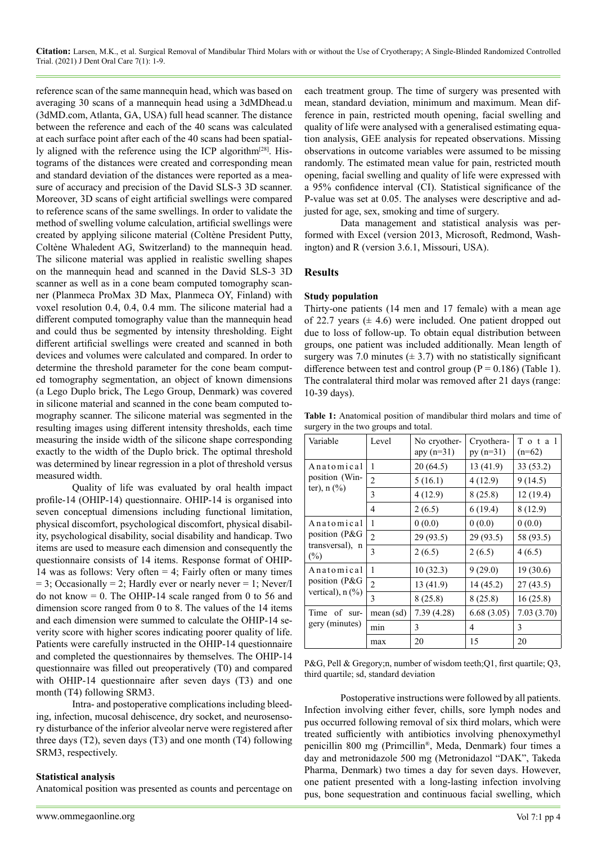**Citation:** Larsen, M.K., et al. Surgical Removal of Mandibular Third Molars with or without the Use of Cryotherapy; A Single-Blinded Randomized Controlled Trial. (2021) J Dent Oral Care 7(1): 1-9.

reference scan of the same mannequin head, which was based on averaging 30 scans of a mannequin head using a 3dMDhead.u (3dMD.com, Atlanta, GA, USA) full head scanner. The distance between the reference and each of the 40 scans was calculated at each surface point after each of the 40 scans had been spatially aligned with the reference using the ICP algorithm<sup>[28]</sup>. Histograms of the distances were created and corresponding mean and standard deviation of the distances were reported as a measure of accuracy and precision of the David SLS-3 3D scanner. Moreover, 3D scans of eight artificial swellings were compared to reference scans of the same swellings. In order to validate the method of swelling volume calculation, artificial swellings were created by applying silicone material (Coltène President Putty, Coltène Whaledent AG, Switzerland) to the mannequin head. The silicone material was applied in realistic swelling shapes on the mannequin head and scanned in the David SLS-3 3D scanner as well as in a cone beam computed tomography scanner (Planmeca ProMax 3D Max, Planmeca OY, Finland) with voxel resolution 0.4, 0.4, 0.4 mm. The silicone material had a different computed tomography value than the mannequin head and could thus be segmented by intensity thresholding. Eight different artificial swellings were created and scanned in both devices and volumes were calculated and compared. In order to determine the threshold parameter for the cone beam computed tomography segmentation, an object of known dimensions (a Lego Duplo brick, The Lego Group, Denmark) was covered in silicone material and scanned in the cone beam computed tomography scanner. The silicone material was segmented in the resulting images using different intensity thresholds, each time measuring the inside width of the silicone shape corresponding exactly to the width of the Duplo brick. The optimal threshold was determined by linear regression in a plot of threshold versus measured width.

Quality of life was evaluated by oral health impact profile-14 (OHIP-14) questionnaire. OHIP-14 is organised into seven conceptual dimensions including functional limitation, physical discomfort, psychological discomfort, physical disability, psychological disability, social disability and handicap. Two items are used to measure each dimension and consequently the questionnaire consists of 14 items. Response format of OHIP-14 was as follows: Very often = 4; Fairly often or many times  $= 3$ ; Occasionally  $= 2$ ; Hardly ever or nearly never  $= 1$ ; Never/I do not know  $= 0$ . The OHIP-14 scale ranged from 0 to 56 and dimension score ranged from 0 to 8. The values of the 14 items and each dimension were summed to calculate the OHIP-14 severity score with higher scores indicating poorer quality of life. Patients were carefully instructed in the OHIP-14 questionnaire and completed the questionnaires by themselves. The OHIP-14 questionnaire was filled out preoperatively (T0) and compared with OHIP-14 questionnaire after seven days (T3) and one month (T4) following SRM3.

Intra- and postoperative complications including bleeding, infection, mucosal dehiscence, dry socket, and neurosensory disturbance of the inferior alveolar nerve were registered after three days (T2), seven days (T3) and one month (T4) following SRM3, respectively.

# **Statistical analysis**

Anatomical position was presented as counts and percentage on

each treatment group. The time of surgery was presented with mean, standard deviation, minimum and maximum. Mean difference in pain, restricted mouth opening, facial swelling and quality of life were analysed with a generalised estimating equation analysis, GEE analysis for repeated observations. Missing observations in outcome variables were assumed to be missing randomly. The estimated mean value for pain, restricted mouth opening, facial swelling and quality of life were expressed with a 95% confidence interval (CI). Statistical significance of the P-value was set at 0.05. The analyses were descriptive and adjusted for age, sex, smoking and time of surgery.

Data management and statistical analysis was performed with Excel (version 2013, Microsoft, Redmond, Washington) and R (version 3.6.1, Missouri, USA).

# **Results**

#### **Study population**

Thirty-one patients (14 men and 17 female) with a mean age of 22.7 years  $(\pm 4.6)$  were included. One patient dropped out due to loss of follow-up. To obtain equal distribution between groups, one patient was included additionally. Mean length of surgery was 7.0 minutes ( $\pm$  3.7) with no statistically significant difference between test and control group ( $P = 0.186$ ) (Table 1). The contralateral third molar was removed after 21 days (range: 10-39 days).

**Table 1:** Anatomical position of mandibular third molars and time of surgery in the two groups and total.

| Variable               | Level          | No cryother-<br>apy $(n=31)$ | Cryothera-<br>$py (n=31)$ | Total<br>$(n=62)$ |  |
|------------------------|----------------|------------------------------|---------------------------|-------------------|--|
| Anatomical             | 1              | 20(64.5)                     | 13(41.9)                  | 33 (53.2)         |  |
| position (Win-         | $\mathfrak{D}$ | 5(16.1)                      | 4(12.9)                   | 9(14.5)           |  |
| ter), $n$ (%)          | $\mathcal{E}$  | 4(12.9)                      | 8(25.8)                   | 12(19.4)          |  |
|                        | 4              | 2(6.5)                       | 6(19.4)                   | 8(12.9)           |  |
| Anatomical             | 1              | 0(0.0)                       | 0(0.0)                    | 0(0.0)            |  |
| position (P&G          | $\mathfrak{D}$ | 29 (93.5)                    | 29 (93.5)                 | 58 (93.5)         |  |
| transversal), n<br>(%) | 3              | 2(6.5)                       | 2(6.5)                    | 4(6.5)            |  |
| Anatomical             | 1              | 10(32.3)                     | 9(29.0)                   | 19 (30.6)         |  |
| position (P&G          | $\mathfrak{D}$ | 13 (41.9)                    | 14(45.2)                  | 27(43.5)          |  |
| vertical), $n$ $(\%)$  | 3              | 8(25.8)                      | 8(25.8)                   | 16(25.8)          |  |
| Time of<br>sur-        | mean (sd)      | 7.39(4.28)                   | 6.68(3.05)                | 7.03(3.70)        |  |
| gery (minutes)         | min            | 3                            | 4                         | 3                 |  |
|                        | max            | 20                           | 15                        | 20                |  |

P&G, Pell & Gregory;n, number of wisdom teeth;Q1, first quartile; Q3, third quartile; sd, standard deviation

Postoperative instructions were followed by all patients. Infection involving either fever, chills, sore lymph nodes and pus occurred following removal of six third molars, which were treated sufficiently with antibiotics involving phenoxymethyl penicillin 800 mg (Primcillin®, Meda, Denmark) four times a day and metronidazole 500 mg (Metronidazol "DAK", Takeda Pharma, Denmark) two times a day for seven days. However, one patient presented with a long-lasting infection involving pus, bone sequestration and continuous facial swelling, which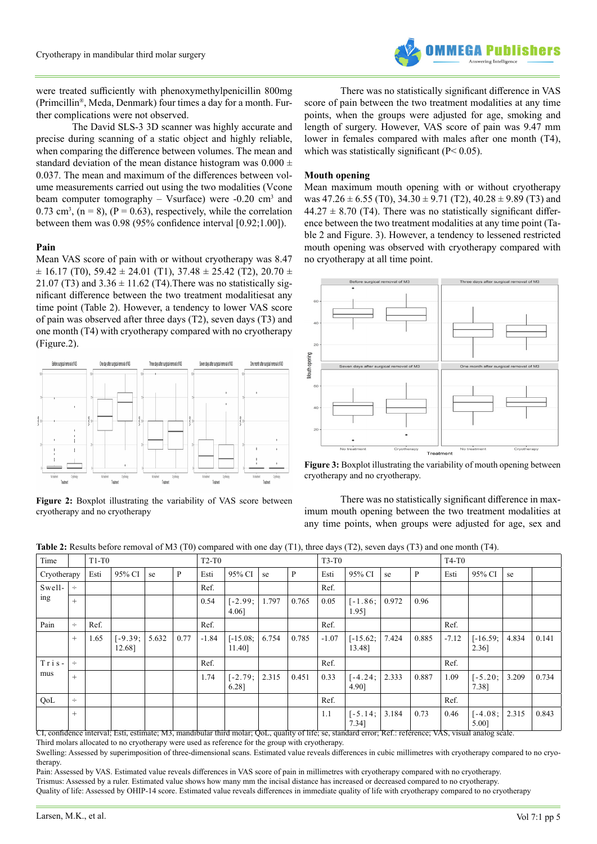

were treated sufficiently with phenoxymethylpenicillin 800mg (Primcillin®, Meda, Denmark) four times a day for a month. Further complications were not observed.

The David SLS-3 3D scanner was highly accurate and precise during scanning of a static object and highly reliable, when comparing the difference between volumes. The mean and standard deviation of the mean distance histogram was  $0.000 \pm$ 0.037. The mean and maximum of the differences between volume measurements carried out using the two modalities (Vcone beam computer tomography  $-$  Vsurface) were  $-0.20$  cm<sup>3</sup> and 0.73 cm<sup>3</sup>, (n = 8), (P = 0.63), respectively, while the correlation between them was 0.98 (95% confidence interval [0.92;1.00]).

#### **Pain**

Mean VAS score of pain with or without cryotherapy was 8.47  $\pm$  16.17 (T0), 59.42  $\pm$  24.01 (T1), 37.48  $\pm$  25.42 (T2), 20.70  $\pm$ 21.07 (T3) and  $3.36 \pm 11.62$  (T4). There was no statistically significant difference between the two treatment modalitiesat any time point (Table 2). However, a tendency to lower VAS score of pain was observed after three days (T2), seven days (T3) and one month (T4) with cryotherapy compared with no cryotherapy (Figure.2).



**Figure 2:** Boxplot illustrating the variability of VAS score between cryotherapy and no cryotherapy

There was no statistically significant difference in VAS score of pain between the two treatment modalities at any time points, when the groups were adjusted for age, smoking and length of surgery. However, VAS score of pain was 9.47 mm lower in females compared with males after one month (T4), which was statistically significant  $(P< 0.05)$ .

#### **Mouth opening**

Mean maximum mouth opening with or without cryotherapy was  $47.26 \pm 6.55$  (T0),  $34.30 \pm 9.71$  (T2),  $40.28 \pm 9.89$  (T3) and  $44.27 \pm 8.70$  (T4). There was no statistically significant difference between the two treatment modalities at any time point (Table 2 and Figure. 3). However, a tendency to lessened restricted mouth opening was observed with cryotherapy compared with no cryotherapy at all time point.





There was no statistically significant difference in maximum mouth opening between the two treatment modalities at any time points, when groups were adjusted for age, sex and

**Table 2:** Results before removal of M3 (T0) compared with one day (T1), three days (T2), seven days (T3) and one month (T4).

| Time          |        | $T1-T0$ |                     |       | $T2-T0$ |         |                      | $T3-T0$ |       |         |                      | $T4-T0$ |       |         |                     |       |       |
|---------------|--------|---------|---------------------|-------|---------|---------|----------------------|---------|-------|---------|----------------------|---------|-------|---------|---------------------|-------|-------|
| Cryotherapy   |        | Esti    | 95% CI              | se    | P       | Esti    | 95% CI               | se      | P     | Esti    | 95% CI               | se      | P     | Esti    | 95% CI              | se    |       |
| Swell-<br>ing | $\div$ |         |                     |       |         | Ref.    |                      |         |       | Ref.    |                      |         |       |         |                     |       |       |
|               | $^{+}$ |         |                     |       |         | 0.54    | $[-2.99;$<br>4.06]   | 1.797   | 0.765 | 0.05    | $[-1.86;$<br>1.95]   | 0.972   | 0.96  |         |                     |       |       |
| Pain          | $\div$ | Ref.    |                     |       |         | Ref.    |                      |         |       | Ref.    |                      |         |       | Ref.    |                     |       |       |
|               | $+$    | 1.65    | $[-9.39;$<br>12.68] | 5.632 | 0.77    | $-1.84$ | $[-15.08;$<br>11.40] | 6.754   | 0.785 | $-1.07$ | $[-15.62;$<br>13.48] | 7.424   | 0.885 | $-7.12$ | $[-16.59;$<br>2.36] | 4.834 | 0.141 |
| $Tris-$       | $\div$ |         |                     |       |         | Ref.    |                      |         |       | Ref.    |                      |         |       | Ref.    |                     |       |       |
| mus           | $+$    |         |                     |       |         | 1.74    | $[-2.79;]$<br>6.28]  | 2.315   | 0.451 | 0.33    | $[-4.24;$<br>4.90]   | 2.333   | 0.887 | 1.09    | $[-5.20;$<br>7.38]  | 3.209 | 0.734 |
| QoL           | $\div$ |         |                     |       |         |         |                      |         |       | Ref.    |                      |         |       | Ref.    |                     |       |       |
|               | $^{+}$ |         |                     |       |         |         |                      |         |       | 1.1     | $[-5.14]$<br>7.34]   | 3.184   | 0.73  | 0.46    | $[-4.08;$<br>5.00]  | 2.315 | 0.843 |

CI, confidence interval; Esti, estimate; M3, mandibular third molar; QoL, quality of life; se, standard error; Ref.: reference; VAS, visual analog scale.

Third molars allocated to no cryotherapy were used as reference for the group with cryotherapy.

Swelling: Assessed by superimposition of three-dimensional scans. Estimated value reveals differences in cubic millimetres with cryotherapy compared to no cryotherapy.

Pain: Assessed by VAS. Estimated value reveals differences in VAS score of pain in millimetres with cryotherapy compared with no cryotherapy. Trismus: Assessed by a ruler. Estimated value shows how many mm the incisal distance has increased or decreased compared to no cryotherapy. Quality of life: Assessed by OHIP-14 score. Estimated value reveals differences in immediate quality of life with cryotherapy compared to no cryotherapy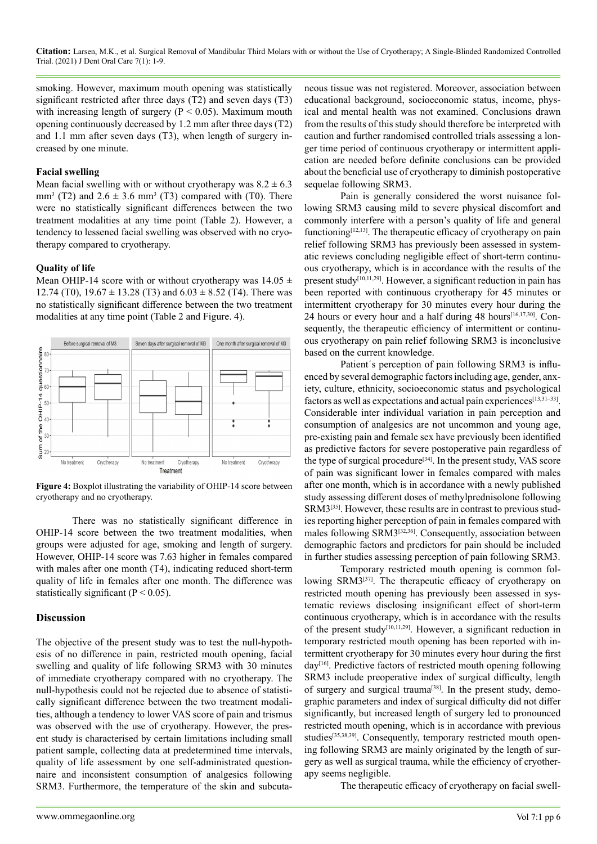**Citation:** Larsen, M.K., et al. Surgical Removal of Mandibular Third Molars with or without the Use of Cryotherapy; A Single-Blinded Randomized Controlled Trial. (2021) J Dent Oral Care 7(1): 1-9.

smoking. However, maximum mouth opening was statistically significant restricted after three days (T2) and seven days (T3) with increasing length of surgery ( $P < 0.05$ ). Maximum mouth opening continuously decreased by 1.2 mm after three days (T2) and 1.1 mm after seven days (T3), when length of surgery increased by one minute.

#### **Facial swelling**

Mean facial swelling with or without cryotherapy was  $8.2 \pm 6.3$ mm<sup>3</sup> (T2) and  $2.6 \pm 3.6$  mm<sup>3</sup> (T3) compared with (T0). There were no statistically significant differences between the two treatment modalities at any time point (Table 2). However, a tendency to lessened facial swelling was observed with no cryotherapy compared to cryotherapy.

#### **Quality of life**

Mean OHIP-14 score with or without cryotherapy was  $14.05 \pm$ 12.74 (T0),  $19.67 \pm 13.28$  (T3) and  $6.03 \pm 8.52$  (T4). There was no statistically significant difference between the two treatment modalities at any time point (Table 2 and Figure. 4).



**Figure 4:** Boxplot illustrating the variability of OHIP-14 score between cryotherapy and no cryotherapy.

There was no statistically significant difference in OHIP-14 score between the two treatment modalities, when groups were adjusted for age, smoking and length of surgery. However, OHIP-14 score was 7.63 higher in females compared with males after one month (T4), indicating reduced short-term quality of life in females after one month. The difference was statistically significant ( $P < 0.05$ ).

#### **Discussion**

The objective of the present study was to test the null-hypothesis of no difference in pain, restricted mouth opening, facial swelling and quality of life following SRM3 with 30 minutes of immediate cryotherapy compared with no cryotherapy. The null-hypothesis could not be rejected due to absence of statistically significant difference between the two treatment modalities, although a tendency to lower VAS score of pain and trismus was observed with the use of cryotherapy. However, the present study is characterised by certain limitations including small patient sample, collecting data at predetermined time intervals, quality of life assessment by one self-administrated questionnaire and inconsistent consumption of analgesics following SRM3. Furthermore, the temperature of the skin and subcutaneous tissue was not registered. Moreover, association between educational background, socioeconomic status, income, physical and mental health was not examined. Conclusions drawn from the results of this study should therefore be interpreted with caution and further randomised controlled trials assessing a longer time period of continuous cryotherapy or intermittent application are needed before definite conclusions can be provided about the beneficial use of cryotherapy to diminish postoperative sequelae following SRM3.

Pain is generally considered the worst nuisance following SRM3 causing mild to severe physical discomfort and commonly interfere with a person's quality of life and general functioning $[12,13]$ . The therapeutic efficacy of cryotherapy on pain relief following SRM3 has previously been assessed in systematic reviews concluding negligible effect of short-term continuous cryotherapy, which is in accordance with the results of the present study<sup>[10,11,29]</sup>. However, a significant reduction in pain has been reported with continuous cryotherapy for 45 minutes or intermittent cryotherapy for 30 minutes every hour during the 24 hours or every hour and a half during 48 hours<sup>[16,17,30]</sup>. Consequently, the therapeutic efficiency of intermittent or continuous cryotherapy on pain relief following SRM3 is inconclusive based on the current knowledge.

Patient´s perception of pain following SRM3 is influenced by several demographic factors including age, gender, anxiety, culture, ethnicity, socioeconomic status and psychological factors as well as expectations and actual pain experiences<sup>[13,31-33]</sup>. Considerable inter individual variation in pain perception and consumption of analgesics are not uncommon and young age, pre-existing pain and female sex have previously been identified as predictive factors for severe postoperative pain regardless of the type of surgical procedure<sup>[\[34\]](#page-8-0)</sup>. In the present study, VAS score of pain was significant lower in females compared with males after one month, which is in accordance with a newly published study assessing different doses of methylprednisolone following SRM3<sup>[\[35\]](#page-8-1)</sup>. However, these results are in contrast to previous studies reporting higher perception of pain in females compared with males following SRM[3\[32,36\]](#page-8-2). Consequently, association between demographic factors and predictors for pain should be included in further studies assessing perception of pain following SRM3.

Temporary restricted mouth opening is common following SRM3<sup>[37]</sup>. The therapeutic efficacy of cryotherapy on restricted mouth opening has previously been assessed in systematic reviews disclosing insignificant effect of short-term continuous cryotherapy, which is in accordance with the results of the present study[10,11,29]. However, a significant reduction in temporary restricted mouth opening has been reported with intermittent cryotherapy for 30 minutes every hour during the first day<sup>[16]</sup>. Predictive factors of restricted mouth opening following SRM3 include preoperative index of surgical difficulty, length of surgery and surgical trauma<sup>[38]</sup>. In the present study, demographic parameters and index of surgical difficulty did not differ significantly, but increased length of surgery led to pronounced restricted mouth opening, which is in accordance with previous studies<sup>[35,38,39]</sup>. Consequently, temporary restricted mouth opening following SRM3 are mainly originated by the length of surgery as well as surgical trauma, while the efficiency of cryotherapy seems negligible.

The therapeutic efficacy of cryotherapy on facial swell-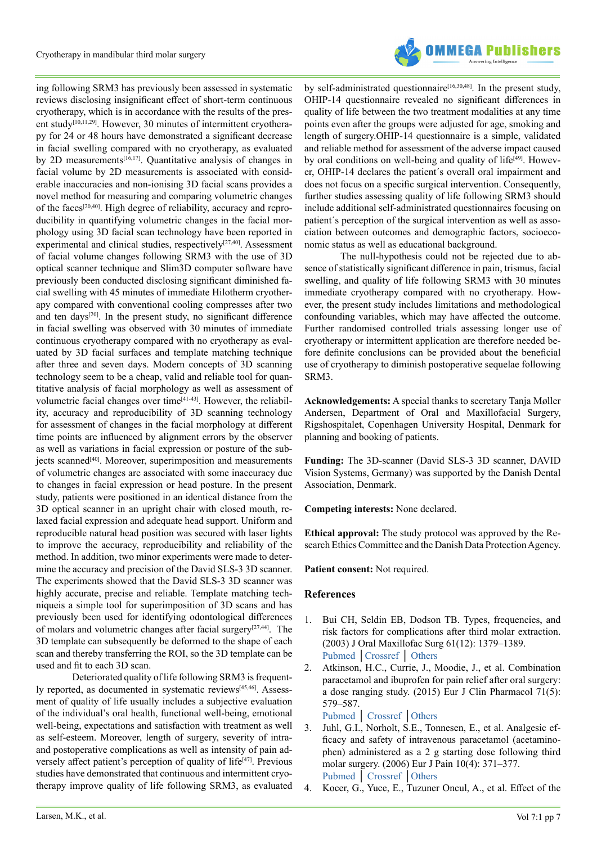

ing following SRM3 has previously been assessed in systematic reviews disclosing insignificant effect of short-term continuous cryotherapy, which is in accordance with the results of the present study<sup>[10,11,29]</sup>. However, 30 minutes of intermittent cryotherapy for 24 or 48 hours have demonstrated a significant decrease in facial swelling compared with no cryotherapy, as evaluated by 2D measurements<sup>[16,17]</sup>. Quantitative analysis of changes in facial volume by 2D measurements is associated with considerable inaccuracies and non-ionising 3D facial scans provides a novel method for measuring and comparing volumetric changes of the faces[\[20,40\].](#page-8-5) High degree of reliability, accuracy and reproducibility in quantifying volumetric changes in the facial morphology using 3D facial scan technology have been reported in experimental and clinical studies, respectively<sup>[27,40]</sup>. Assessment of facial volume changes following SRM3 with the use of 3D optical scanner technique and Slim3D computer software have previously been conducted disclosing significant diminished facial swelling with 45 minutes of immediate Hilotherm cryotherapy compared with conventional cooling compresses after two and ten days<sup>[20]</sup>. In the present study, no significant difference in facial swelling was observed with 30 minutes of immediate continuous cryotherapy compared with no cryotherapy as evaluated by 3D facial surfaces and template matching technique after three and seven days. Modern concepts of 3D scanning technology seem to be a cheap, valid and reliable tool for quantitative analysis of facial morphology as well as assessment of volumetric facial changes over time[\[41-43\]](#page-8-6). However, the reliability, accuracy and reproducibility of 3D scanning technology for assessment of changes in the facial morphology at different time points are influenced by alignment errors by the observer as well as variations in facial expression or posture of the subjects scanned<sup>[40]</sup>. Moreover, superimposition and measurements of volumetric changes are associated with some inaccuracy due to changes in facial expression or head posture. In the present study, patients were positioned in an identical distance from the 3D optical scanner in an upright chair with closed mouth, relaxed facial expression and adequate head support. Uniform and reproducible natural head position was secured with laser lights to improve the accuracy, reproducibility and reliability of the method. In addition, two minor experiments were made to determine the accuracy and precision of the David SLS-3 3D scanner. The experiments showed that the David SLS-3 3D scanner was highly accurate, precise and reliable. Template matching techniqueis a simple tool for superimposition of 3D scans and has previously been used for identifying odontological differences of molars and volumetric changes after facial surger[y\[27,44\]](#page-7-11). The 3D template can subsequently be deformed to the shape of each scan and thereby transferring the ROI, so the 3D template can be used and fit to each 3D scan.

Deteriorated quality of life following SRM3 is frequently reported, as documented in systematic reviews<sup>[45,46]</sup>. Assessment of quality of life usually includes a subjective evaluation of the individual's oral health, functional well-being, emotional well-being, expectations and satisfaction with treatment as well as self-esteem. Moreover, length of surgery, severity of intraand postoperative complications as well as intensity of pain adversely affect patient's perception of quality of life<sup>[47]</sup>. Previous studies have demonstrated that continuous and intermittent cryotherapy improve quality of life following SRM3, as evaluated by self-administrated questionnaire<sup>[16,30,48]</sup>. In the present study, OHIP-14 questionnaire revealed no significant differences in quality of life between the two treatment modalities at any time points even after the groups were adjusted for age, smoking and length of surgery.OHIP-14 questionnaire is a simple, validated and reliable method for assessment of the adverse impact caused by oral conditions on well-being and quality of life<sup>[49]</sup>. However, OHIP-14 declares the patient´s overall oral impairment and does not focus on a specific surgical intervention. Consequently, further studies assessing quality of life following SRM3 should include additional self-administrated questionnaires focusing on patient´s perception of the surgical intervention as well as association between outcomes and demographic factors, socioeconomic status as well as educational background.

The null-hypothesis could not be rejected due to absence of statistically significant difference in pain, trismus, facial swelling, and quality of life following SRM3 with 30 minutes immediate cryotherapy compared with no cryotherapy. However, the present study includes limitations and methodological confounding variables, which may have affected the outcome. Further randomised controlled trials assessing longer use of cryotherapy or intermittent application are therefore needed before definite conclusions can be provided about the beneficial use of cryotherapy to diminish postoperative sequelae following SRM3.

**Acknowledgements:** A special thanks to secretary Tanja Møller Andersen, Department of Oral and Maxillofacial Surgery, Rigshospitalet, Copenhagen University Hospital, Denmark for planning and booking of patients.

**Funding:** The 3D-scanner (David SLS-3 3D scanner, DAVID Vision Systems, Germany) was supported by the Danish Dental Association, Denmark.

**Competing interests:** None declared.

**Ethical approval:** The study protocol was approved by the Research Ethics Committee and the Danish Data Protection Agency.

**Patient consent:** Not required.

#### **References**

- <span id="page-6-0"></span>1. Bui CH, Seldin EB, Dodson TB. Types, frequencies, and risk factors for complications after third molar extraction. (2003) J Oral Maxillofac Surg 61(12): 1379–1389. [Pubmed](https://pubmed.ncbi.nlm.nih.gov/14663801/) │[Crossref](https://doi.org/10.1016/j.joms.2003.04.001) │ [Others](https://www.joms.org/article/S0278-2391(03)00836-X/fulltext)
- <span id="page-6-1"></span>2. Atkinson, H.C., Currie, J., Moodie, J., et al. Combination paracetamol and ibuprofen for pain relief after oral surgery: a dose ranging study. (2015) Eur J Clin Pharmacol 71(5): 579–587.

[Pubmed](https://pubmed.ncbi.nlm.nih.gov/25778933/) │ [Crossref](https://doi.org/10.1007/s00228-015-1827-x) │[Others](https://link.springer.com/article/10.1007/s00228-015-1827-x)

- 3. Juhl, G.I., Norholt, S.E., Tonnesen, E., et al. Analgesic efficacy and safety of intravenous paracetamol (acetaminophen) administered as a 2 g starting dose following third molar surgery. (2006) Eur J Pain 10(4): 371–377. [Pubmed](https://pubmed.ncbi.nlm.nih.gov/16085437/) │ [Crossref](https://doi.org/10.1016/j.ejpain.2005.06.004) │[Others](https://onlinelibrary.wiley.com/doi/abs/10.1016/j.ejpain.2005.06.004)
- 4. Kocer, G., Yuce, E., Tuzuner Oncul, A., et al. Effect of the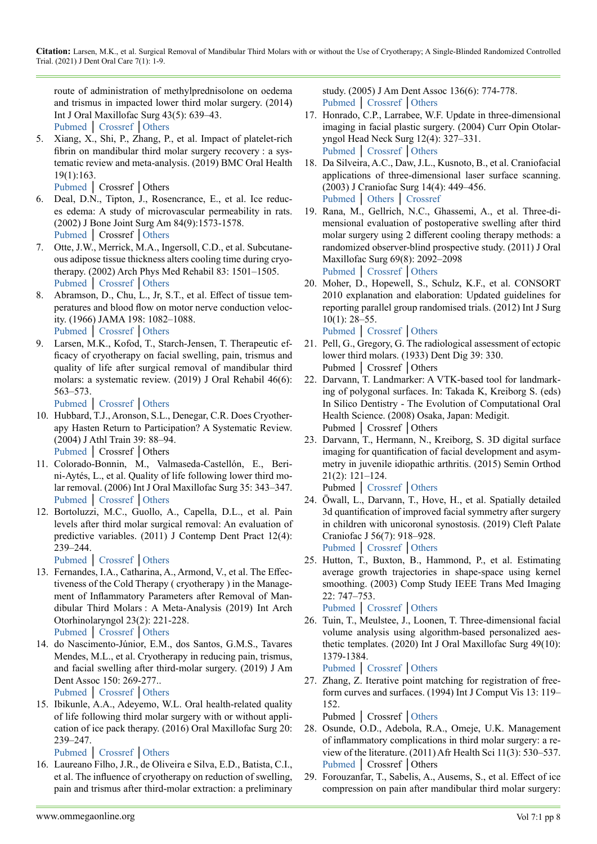route of administration of methylprednisolone on oedema and trismus in impacted lower third molar surgery. (2014) Int J Oral Maxillofac Surg 43(5): 639–43. [Pubmed](https://pubmed.ncbi.nlm.nih.gov/24332587/) │ [Crossref](https://doi.org/10.1186/s12903-019-0824-3) [│Others](https://bmcoralhealth.biomedcentral.com/articles/10.1186/s12903-019-0824-3)

5. Xiang, X., Shi, P., Zhang, P., et al. Impact of platelet-rich fibrin on mandibular third molar surgery recovery : a systematic review and meta-analysis. (2019) BMC Oral Health 19(1):163.

<span id="page-7-0"></span>[Pubmed](https://pubmed.ncbi.nlm.nih.gov/31345203/) │ Crossref │Others

- 6. Deal, D.N., Tipton, J., Rosencrance, E., et al. Ice reduces edema: A study of microvascular permeability in rats. (2002) J Bone Joint Surg Am 84(9):1573-1578. [Pubmed](https://pubmed.ncbi.nlm.nih.gov/12208913/) │ Crossref [│Others](https://journals.lww.com/jbjsjournal/Abstract/2002/09000/Ice_Reduces_Edema__A_Study_of_Microvascular.9.aspx)
- 7. Otte, J.W., Merrick, M.A., Ingersoll, C.D., et al. Subcutaneous adipose tissue thickness alters cooling time during cryotherapy. (2002) Arch Phys Med Rehabil 83: 1501–1505. [Pubmed](https://pubmed.ncbi.nlm.nih.gov/12422316/) │ [Crossref](https://doi.org/10.1053/apmr.2002.34833) [│Others](https://www.archives-pmr.org/article/S0003-9993(02)00242-3/fulltext)
- 8. Abramson, D., Chu, L., Jr, S.T., et al. Effect of tissue temperatures and blood flow on motor nerve conduction velocity. (1966) JAMA 198: 1082–1088. [Pubmed](https://pubmed.ncbi.nlm.nih.gov/5953385/) │ [Crossref](https://doi.org/10.1001/jama.1966.03110230098021) [│Others](https://jamanetwork.com/journals/jama/article-abstract/662533)
- 9. Larsen, M.K., Kofod, T., Starch-Jensen, T. Therapeutic efficacy of cryotherapy on facial swelling, pain, trismus and quality of life after surgical removal of mandibular third molars: a systematic review. (2019) J Oral Rehabil 46(6): 563–573.

<span id="page-7-1"></span>[Pubmed](https://pubmed.ncbi.nlm.nih.gov/30869171/) │ [Crossref](https://doi.org/10.1111/joor.12789) [│Others](https://onlinelibrary.wiley.com/doi/abs/10.1111/joor.12789)

- 10. Hubbard, T.J., Aronson, S.L., Denegar, C.R. Does Cryotherapy Hasten Return to Participation? A Systematic Review. (2004) J Athl Train 39: 88–94. [Pubmed](https://www.ncbi.nlm.nih.gov/books/NBK70406/) │ Crossref │Others
- 11. Colorado-Bonnin, M., Valmaseda-Castellón, E., Berini-Aytés, L., et al. Quality of life following lower third molar removal. (2006) Int J Oral Maxillofac Surg 35: 343–347. [Pubmed](https://pubmed.ncbi.nlm.nih.gov/16280233/) │ [Crossref](https://doi.org/10.1016/j.ijom.2005.08.008) [│Others](https://linkinghub.elsevier.com/retrieve/pii/S0901502705003073)
- <span id="page-7-2"></span>12. Bortoluzzi, M.C., Guollo, A., Capella, D.L., et al. Pain levels after third molar surgical removal: An evaluation of predictive variables. (2011) J Contemp Dent Pract 12(4): 239–244.

<span id="page-7-3"></span>[Pubmed](https://pubmed.ncbi.nlm.nih.gov/22186857/) │ [Crossref](https://doi.org/10.5005/jp-journals-10024-1041) [│Others](https://www.thejcdp.com/doi/pdf/10.5005/jp-journals-10024-1041)

- 13. Fernandes, I.A., Catharina, A., Armond, V., et al. The Effectiveness of the Cold Therapy ( cryotherapy ) in the Management of Inflammatory Parameters after Removal of Mandibular Third Molars : A Meta-Analysis (2019) Int Arch Otorhinolaryngol 23(2): 221-228. [Pubmed](https://pubmed.ncbi.nlm.nih.gov/30956709/) │ [Crossref](https://doi.org/10.1055/s-0039-1677755) [│Others](https://www.thieme-connect.de/products/ejournals/abstract/10.1055/s-0039-1677755)
- 14. do Nascimento-Júnior, E.M., dos Santos, G.M.S., Tavares Mendes, M.L., et al. Cryotherapy in reducing pain, trismus, and facial swelling after third-molar surgery. (2019) J Am Dent Assoc 150: 269-277.. [Pubmed](https://pubmed.ncbi.nlm.nih.gov/30798949/) │ [Crossref](https://doi.org/10.1016/j.adaj.2018.11.008) [│Others](https://linkinghub.elsevier.com/retrieve/pii/S0002817718307876)

15. Ibikunle, A.A., Adeyemo, W.L. Oral health-related quality

- of life following third molar surgery with or without application of ice pack therapy. (2016) Oral Maxillofac Surg 20: 239–247. [Pubmed](https://pubmed.ncbi.nlm.nih.gov/27139019/) │ [Crossref](https://doi.org/10.1007/s10006-016-0558-1) [│Others](https://link.springer.com/article/10.1007%2Fs10006-016-0558-1)
- <span id="page-7-4"></span>16. Laureano Filho, J.R., de Oliveira e Silva, E.D., Batista, C.I., et al. The influence of cryotherapy on reduction of swelling, pain and trismus after third-molar extraction: a preliminary

study. (2005) J Am Dent Assoc 136(6): 774-778. [Pubmed](https://pubmed.ncbi.nlm.nih.gov/16022042/) │ [Crossref](https://doi.org/10.14219/jada.archive.2005.0261) │[Others](https://jada.ada.org/article/S0002-8177(14)63001-4/fulltext)

- 17. Honrado, C.P., Larrabee, W.F. Update in three-dimensional imaging in facial plastic surgery. (2004) Curr Opin Otolaryngol Head Neck Surg 12(4): 327–331. [Pubmed](https://pubmed.ncbi.nlm.nih.gov/15252256/) │ [Crossref](https://doi.org/10.1097/01.moo.0000130578.12441.99) │[Others](https://journals.lww.com/co-otolaryngology/Abstract/2004/08000/Update_in_three_dimensional_imaging_in_facial.12.aspx)
- <span id="page-7-5"></span>18. Da Silveira, A.C., Daw, J.L., Kusnoto, B., et al. Craniofacial applications of three-dimensional laser surface scanning. (2003) J Craniofac Surg 14(4): 449–456. [Pubmed](https://pubmed.ncbi.nlm.nih.gov/12867855/) │ [Others](https://doi.org/10.1097/00001665-200307000-00009) │ [Crossref](https://journals.lww.com/jcraniofacialsurgery/Abstract/2003/07000/Craniofacial_Applications_of_Three_Dimensional.9.aspx)
- 19. Rana, M., Gellrich, N.C., Ghassemi, A., et al. Three-dimensional evaluation of postoperative swelling after third molar surgery using 2 different cooling therapy methods: a randomized observer-blind prospective study. (2011) J Oral Maxillofac Surg 69(8): 2092–2098 [Pubmed](https://pubmed.ncbi.nlm.nih.gov/21496998/) │ [Crossref](https://doi.org/10.1016/j.joms.2010.12.038) │[Others](https://www.joms.org/article/S0278-2391(11)00062-0/fulltext)
- <span id="page-7-6"></span>20. Moher, D., Hopewell, S., Schulz, K.F., et al. CONSORT 2010 explanation and elaboration: Updated guidelines for reporting parallel group randomised trials. (2012) Int J Surg 10(1): 28–55.

<span id="page-7-7"></span>[Pubmed](https://pubmed.ncbi.nlm.nih.gov/22036893/) │ [Crossref](https://doi.org/10.1016/j.ijsu.2011.10.001) │[Others](https://linkinghub.elsevier.com/retrieve/pii/S1743919111005656)

- 21. Pell, G., Gregory, G. The radiological assessment of ectopic lower third molars. (1933) Dent Dig 39: 330. Pubmed │ Crossref │Others
- <span id="page-7-8"></span>22. Darvann, T. Landmarker: A VTK-based tool for landmarking of polygonal surfaces. In: Takada K, Kreiborg S. (eds) In Silico Dentistry - The Evolution of Computational Oral Health Science. (2008) Osaka, Japan: Medigit. Pubmed │ Crossref │Others
- <span id="page-7-9"></span>23. Darvann, T., Hermann, N., Kreiborg, S. 3D digital surface imaging for quantification of facial development and asymmetry in juvenile idiopathic arthritis. (2015) Semin Orthod 21(2): 121–124.

<span id="page-7-10"></span>Pubmed │ [Crossref](https://doi.org/10.1053/j.sodo.2015.02.008) │[Others](https://www.sciencedirect.com/science/article/abs/pii/S107387461500016X)

- 24. Öwall, L., Darvann, T., Hove, H., et al. Spatially detailed 3d quantification of improved facial symmetry after surgery in children with unicoronal synostosis. (2019) Cleft Palate Craniofac J 56(7): 918–928. [Pubmed](https://pubmed.ncbi.nlm.nih.gov/30616385/) │ [Crossref](https://doi.org/10.1177/1055665618821821) │[Others](https://journals.sagepub.com/doi/10.1177/1055665618821821)
- 25. Hutton, T., Buxton, B., Hammond, P., et al. Estimating average growth trajectories in shape-space using kernel smoothing. (2003) Comp Study IEEE Trans Med Imaging 22: 747–753.

[Pubmed](https://pubmed.ncbi.nlm.nih.gov/12872950/) │ [Crossref](https://doi.org/10.1109/tmi.2003.814784) │[Others](https://ieeexplore.ieee.org/document/1211204)

26. Tuin, T., Meulstee, J., Loonen, T. Three-dimensional facial volume analysis using algorithm-based personalized aesthetic templates. (2020) Int J Oral Maxillofac Surg 49(10): 1379-1384.

<span id="page-7-11"></span>[Pubmed](https://linkinghub.elsevier.com/retrieve/pii/S0901502720300138) │ [Crossref](https://doi.org/10.1016/j.ijom.2020.01.013) │[Others](https://pubmed.ncbi.nlm.nih.gov/32081581/)

27. Zhang, Z. Iterative point matching for registration of freeform curves and surfaces. (1994) Int J Comput Vis 13: 119– 152.

<span id="page-7-12"></span>Pubmed │ Crossref │[Others](https://link.springer.com/article/10.1007/BF01427149)

- 28. Osunde, O.D., Adebola, R.A., Omeje, U.K. Management of inflammatory complications in third molar surgery: a review of the literature. (2011) Afr Health Sci 11(3): 530–537. [Pubmed](https://pubmed.ncbi.nlm.nih.gov/22275950/) │ Crossref │Others
- 29. Forouzanfar, T., Sabelis, A., Ausems, S., et al. Effect of ice compression on pain after mandibular third molar surgery: